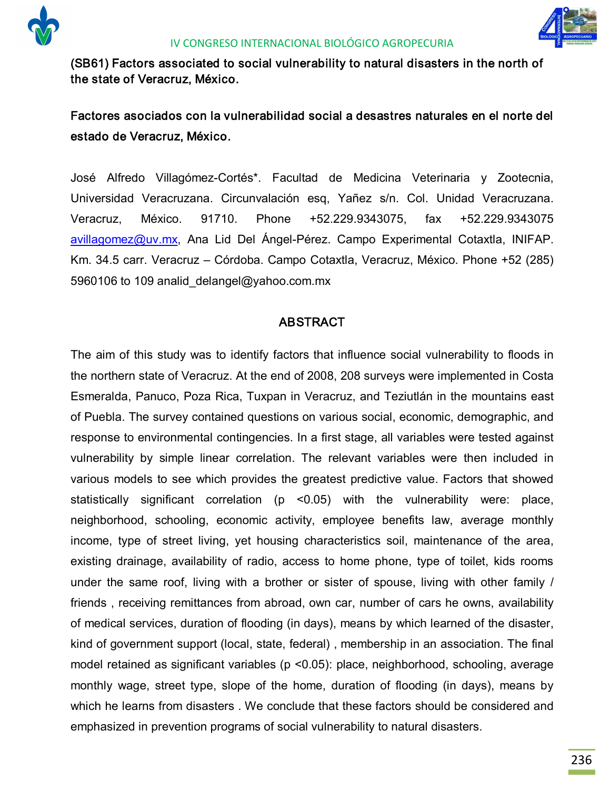



(SB61) Factors associated to social vulnerability to natural disasters in the north of the state of Veracruz, México.

Factores asociados con la vulnerabilidad social a desastres naturales en el norte del estado de Veracruz, México.

José Alfredo Villagómez-Cortés\*. Facultad de Medicina Veterinaria y Zootecnia, Universidad Veracruzana. Circunvalación esq, Yañez s/n. Col. Unidad Veracruzana. Veracruz, México. 91710. Phone +52.229.9343075, fax +52.229.9343075 avillagomez@uv.mx, Ana Lid Del Ángel-Pérez. Campo Experimental Cotaxtla, INIFAP. Km. 34.5 carr. Veracruz – Córdoba. Campo Cotaxtla, Veracruz, México. Phone +52 (285) 5960106 to 109 analid delangel@yahoo.com.mx

# ABSTRACT

The aim of this study was to identify factors that influence social vulnerability to floods in the northern state of Veracruz. At the end of 2008, 208 surveys were implemented in Costa Esmeralda, Panuco, Poza Rica, Tuxpan in Veracruz, and Teziutlán in the mountains east of Puebla. The survey contained questions on various social, economic, demographic, and response to environmental contingencies. In a first stage, all variables were tested against vulnerability by simple linear correlation. The relevant variables were then included in various models to see which provides the greatest predictive value. Factors that showed statistically significant correlation (p <0.05) with the vulnerability were: place, neighborhood, schooling, economic activity, employee benefits law, average monthly income, type of street living, yet housing characteristics soil, maintenance of the area, existing drainage, availability of radio, access to home phone, type of toilet, kids rooms under the same roof, living with a brother or sister of spouse, living with other family / friends , receiving remittances from abroad, own car, number of cars he owns, availability of medical services, duration of flooding (in days), means by which learned of the disaster, kind of government support (local, state, federal) , membership in an association. The final model retained as significant variables (p <0.05): place, neighborhood, schooling, average monthly wage, street type, slope of the home, duration of flooding (in days), means by which he learns from disasters . We conclude that these factors should be considered and emphasized in prevention programs of social vulnerability to natural disasters.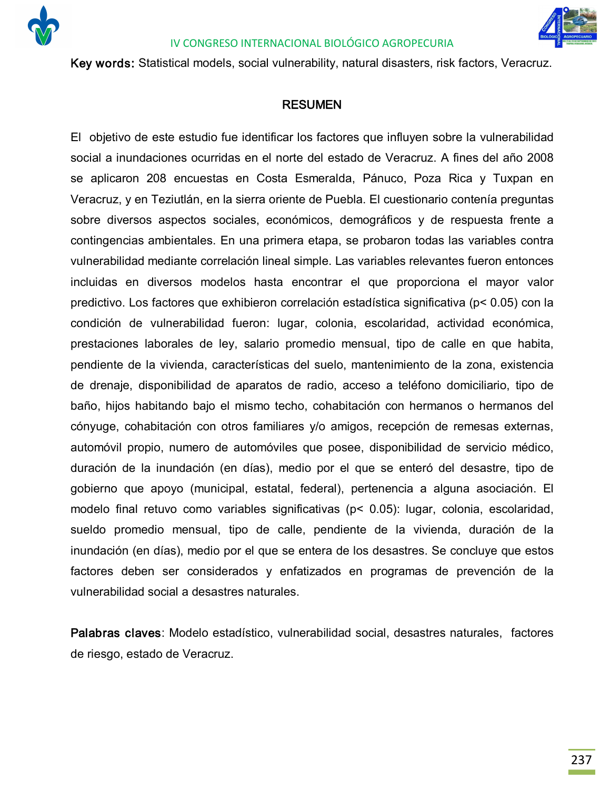



Key words: Statistical models, social vulnerability, natural disasters, risk factors, Veracruz.

# **RESUMEN**

El objetivo de este estudio fue identificar los factores que influyen sobre la vulnerabilidad social a inundaciones ocurridas en el norte del estado de Veracruz. A fines del año 2008 se aplicaron 208 encuestas en Costa Esmeralda, Pánuco, Poza Rica y Tuxpan en Veracruz, y en Teziutlán, en la sierra oriente de Puebla. El cuestionario contenía preguntas sobre diversos aspectos sociales, económicos, demográficos y de respuesta frente a contingencias ambientales. En una primera etapa, se probaron todas las variables contra vulnerabilidad mediante correlación lineal simple. Las variables relevantes fueron entonces incluidas en diversos modelos hasta encontrar el que proporciona el mayor valor predictivo. Los factores que exhibieron correlación estadística significativa (p< 0.05) con la condición de vulnerabilidad fueron: lugar, colonia, escolaridad, actividad económica, prestaciones laborales de ley, salario promedio mensual, tipo de calle en que habita, pendiente de la vivienda, características del suelo, mantenimiento de la zona, existencia de drenaje, disponibilidad de aparatos de radio, acceso a teléfono domiciliario, tipo de baño, hijos habitando bajo el mismo techo, cohabitación con hermanos o hermanos del cónyuge, cohabitación con otros familiares y/o amigos, recepción de remesas externas, automóvil propio, numero de automóviles que posee, disponibilidad de servicio médico, duración de la inundación (en días), medio por el que se enteró del desastre, tipo de gobierno que apoyo (municipal, estatal, federal), pertenencia a alguna asociación. El modelo final retuvo como variables significativas (p< 0.05): lugar, colonia, escolaridad, sueldo promedio mensual, tipo de calle, pendiente de la vivienda, duración de la inundación (en días), medio por el que se entera de los desastres. Se concluye que estos factores deben ser considerados y enfatizados en programas de prevención de la vulnerabilidad social a desastres naturales.

Palabras claves: Modelo estadístico, vulnerabilidad social, desastres naturales, factores de riesgo, estado de Veracruz.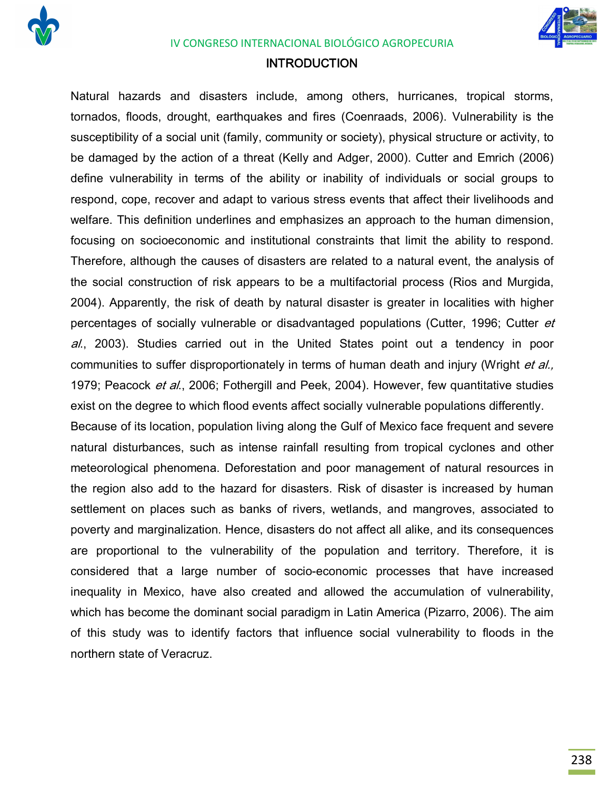





## **INTRODUCTION**

Natural hazards and disasters include, among others, hurricanes, tropical storms, tornados, floods, drought, earthquakes and fires (Coenraads, 2006). Vulnerability is the susceptibility of a social unit (family, community or society), physical structure or activity, to be damaged by the action of a threat (Kelly and Adger, 2000). Cutter and Emrich (2006) define vulnerability in terms of the ability or inability of individuals or social groups to respond, cope, recover and adapt to various stress events that affect their livelihoods and welfare. This definition underlines and emphasizes an approach to the human dimension, focusing on socioeconomic and institutional constraints that limit the ability to respond. Therefore, although the causes of disasters are related to a natural event, the analysis of the social construction of risk appears to be a multifactorial process (Rios and Murgida, 2004). Apparently, the risk of death by natural disaster is greater in localities with higher percentages of socially vulnerable or disadvantaged populations (Cutter, 1996; Cutter et al., 2003). Studies carried out in the United States point out a tendency in poor communities to suffer disproportionately in terms of human death and injury (Wright et al., 1979; Peacock *et al.*, 2006; Fothergill and Peek, 2004). However, few quantitative studies exist on the degree to which flood events affect socially vulnerable populations differently.

Because of its location, population living along the Gulf of Mexico face frequent and severe natural disturbances, such as intense rainfall resulting from tropical cyclones and other meteorological phenomena. Deforestation and poor management of natural resources in the region also add to the hazard for disasters. Risk of disaster is increased by human settlement on places such as banks of rivers, wetlands, and mangroves, associated to poverty and marginalization. Hence, disasters do not affect all alike, and its consequences are proportional to the vulnerability of the population and territory. Therefore, it is considered that a large number of socio-economic processes that have increased inequality in Mexico, have also created and allowed the accumulation of vulnerability, which has become the dominant social paradigm in Latin America (Pizarro, 2006). The aim of this study was to identify factors that influence social vulnerability to floods in the northern state of Veracruz.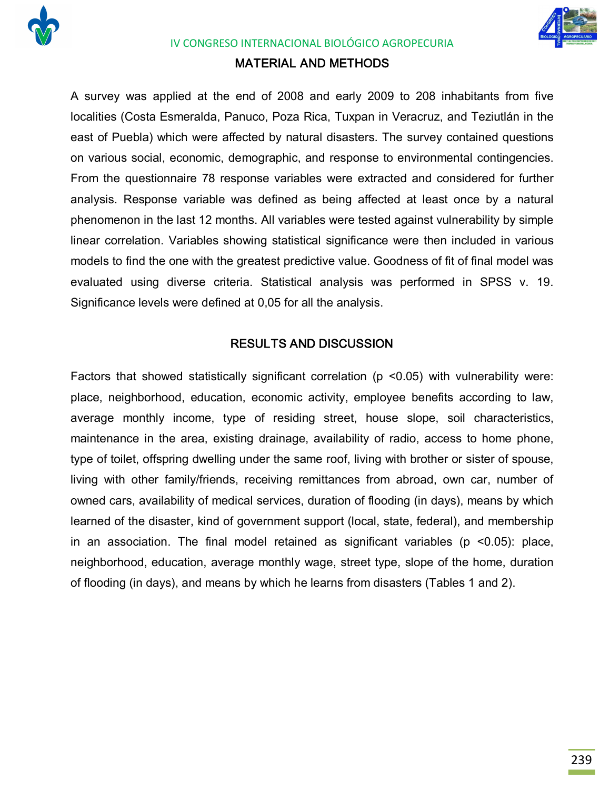



### MATERIAL AND METHODS

A survey was applied at the end of 2008 and early 2009 to 208 inhabitants from five localities (Costa Esmeralda, Panuco, Poza Rica, Tuxpan in Veracruz, and Teziutlán in the east of Puebla) which were affected by natural disasters. The survey contained questions on various social, economic, demographic, and response to environmental contingencies. From the questionnaire 78 response variables were extracted and considered for further analysis. Response variable was defined as being affected at least once by a natural phenomenon in the last 12 months. All variables were tested against vulnerability by simple linear correlation. Variables showing statistical significance were then included in various models to find the one with the greatest predictive value. Goodness of fit of final model was evaluated using diverse criteria. Statistical analysis was performed in SPSS v. 19. Significance levels were defined at 0,05 for all the analysis.

### RESULTS AND DISCUSSION

Factors that showed statistically significant correlation (p <0.05) with vulnerability were: place, neighborhood, education, economic activity, employee benefits according to law, average monthly income, type of residing street, house slope, soil characteristics, maintenance in the area, existing drainage, availability of radio, access to home phone, type of toilet, offspring dwelling under the same roof, living with brother or sister of spouse, living with other family/friends, receiving remittances from abroad, own car, number of owned cars, availability of medical services, duration of flooding (in days), means by which learned of the disaster, kind of government support (local, state, federal), and membership in an association. The final model retained as significant variables ( $p$  <0.05): place, neighborhood, education, average monthly wage, street type, slope of the home, duration of flooding (in days), and means by which he learns from disasters (Tables 1 and 2).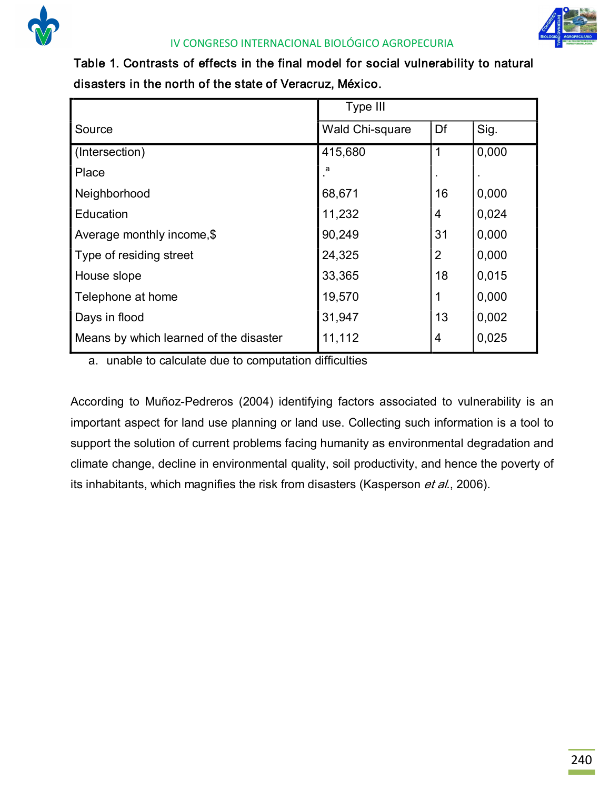



Table 1. Contrasts of effects in the final model for social vulnerability to natural disasters in the north of the state of Veracruz, México.

|                                        | Type III        |                |       |
|----------------------------------------|-----------------|----------------|-------|
| Source                                 | Wald Chi-square | Df             | Sig.  |
| (Intersection)                         | 415,680         | 1              | 0,000 |
| Place                                  | a               |                |       |
| Neighborhood                           | 68,671          | 16             | 0,000 |
| Education                              | 11,232          | 4              | 0,024 |
| Average monthly income, \$             | 90,249          | 31             | 0,000 |
| Type of residing street                | 24,325          | $\overline{2}$ | 0,000 |
| House slope                            | 33,365          | 18             | 0,015 |
| Telephone at home                      | 19,570          |                | 0,000 |
| Days in flood                          | 31,947          | 13             | 0,002 |
| Means by which learned of the disaster | 11,112          | 4              | 0,025 |

a. unable to calculate due to computation difficulties

According to Muñoz-Pedreros (2004) identifying factors associated to vulnerability is an important aspect for land use planning or land use. Collecting such information is a tool to support the solution of current problems facing humanity as environmental degradation and climate change, decline in environmental quality, soil productivity, and hence the poverty of its inhabitants, which magnifies the risk from disasters (Kasperson et al., 2006).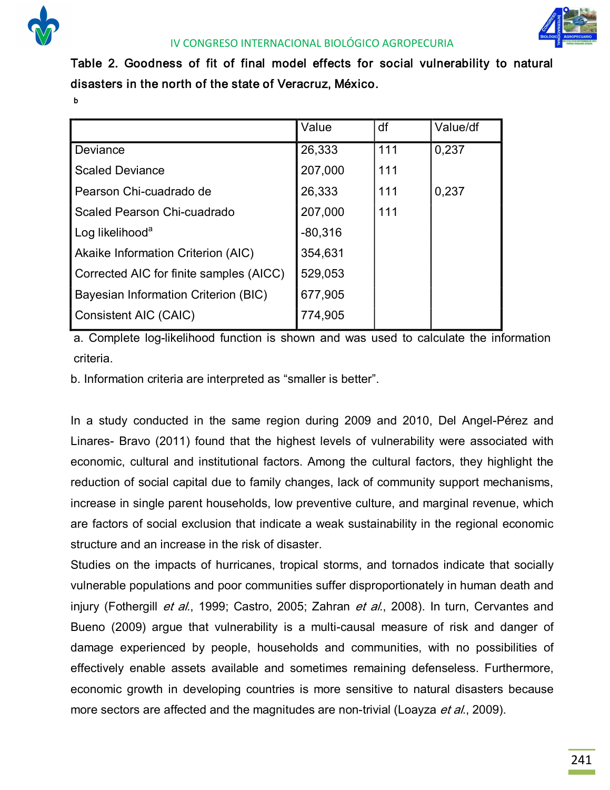



Table 2. Goodness of fit of final model effects for social vulnerability to natural disasters in the north of the state of Veracruz, México.

b

|                                         | Value     | df  | Value/df |
|-----------------------------------------|-----------|-----|----------|
| Deviance                                | 26,333    | 111 | 0.237    |
| <b>Scaled Deviance</b>                  | 207,000   | 111 |          |
| Pearson Chi-cuadrado de                 | 26,333    | 111 | 0,237    |
| Scaled Pearson Chi-cuadrado             | 207,000   | 111 |          |
| Log likelihood <sup>a</sup>             | $-80,316$ |     |          |
| Akaike Information Criterion (AIC)      | 354,631   |     |          |
| Corrected AIC for finite samples (AICC) | 529,053   |     |          |
| Bayesian Information Criterion (BIC)    | 677,905   |     |          |
| Consistent AIC (CAIC)                   | 774,905   |     |          |

a. Complete log-likelihood function is shown and was used to calculate the information criteria.

b. Information criteria are interpreted as "smaller is better".

In a study conducted in the same region during 2009 and 2010, Del Angel-Pérez and Linares- Bravo (2011) found that the highest levels of vulnerability were associated with economic, cultural and institutional factors. Among the cultural factors, they highlight the reduction of social capital due to family changes, lack of community support mechanisms, increase in single parent households, low preventive culture, and marginal revenue, which are factors of social exclusion that indicate a weak sustainability in the regional economic structure and an increase in the risk of disaster.

Studies on the impacts of hurricanes, tropical storms, and tornados indicate that socially vulnerable populations and poor communities suffer disproportionately in human death and injury (Fothergill *et al.*, 1999; Castro, 2005; Zahran *et al.*, 2008). In turn, Cervantes and Bueno (2009) argue that vulnerability is a multi-causal measure of risk and danger of damage experienced by people, households and communities, with no possibilities of effectively enable assets available and sometimes remaining defenseless. Furthermore, economic growth in developing countries is more sensitive to natural disasters because more sectors are affected and the magnitudes are non-trivial (Loayza et al., 2009).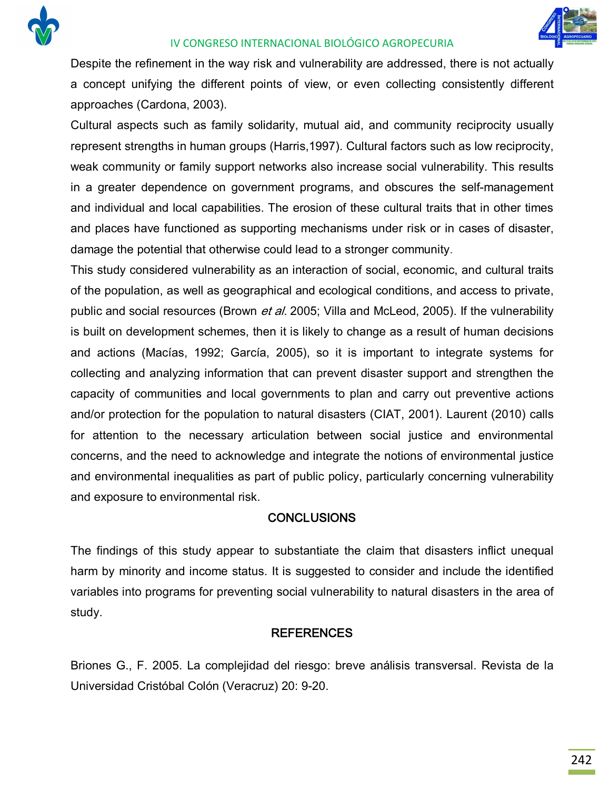



Despite the refinement in the way risk and vulnerability are addressed, there is not actually a concept unifying the different points of view, or even collecting consistently different approaches (Cardona, 2003).

Cultural aspects such as family solidarity, mutual aid, and community reciprocity usually represent strengths in human groups (Harris,1997). Cultural factors such as low reciprocity, weak community or family support networks also increase social vulnerability. This results in a greater dependence on government programs, and obscures the self-management and individual and local capabilities. The erosion of these cultural traits that in other times and places have functioned as supporting mechanisms under risk or in cases of disaster, damage the potential that otherwise could lead to a stronger community.

This study considered vulnerability as an interaction of social, economic, and cultural traits of the population, as well as geographical and ecological conditions, and access to private, public and social resources (Brown *et al.* 2005; Villa and McLeod, 2005). If the vulnerability is built on development schemes, then it is likely to change as a result of human decisions and actions (Macías, 1992; García, 2005), so it is important to integrate systems for collecting and analyzing information that can prevent disaster support and strengthen the capacity of communities and local governments to plan and carry out preventive actions and/or protection for the population to natural disasters (CIAT, 2001). Laurent (2010) calls for attention to the necessary articulation between social justice and environmental concerns, and the need to acknowledge and integrate the notions of environmental justice and environmental inequalities as part of public policy, particularly concerning vulnerability and exposure to environmental risk.

# **CONCLUSIONS**

The findings of this study appear to substantiate the claim that disasters inflict unequal harm by minority and income status. It is suggested to consider and include the identified variables into programs for preventing social vulnerability to natural disasters in the area of study.

# REFERENCES

Briones G., F. 2005. La complejidad del riesgo: breve análisis transversal. Revista de la Universidad Cristóbal Colón (Veracruz) 20: 9-20.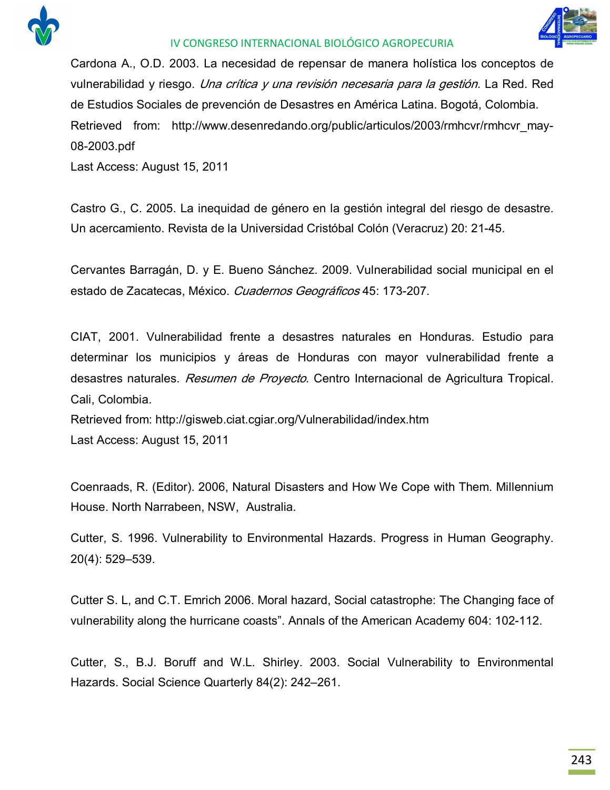



Cardona A., O.D. 2003. La necesidad de repensar de manera holística los conceptos de vulnerabilidad y riesgo. *Una crítica y una revisión necesaria para la gestión*. La Red. Red de Estudios Sociales de prevención de Desastres en América Latina. Bogotá, Colombia. Retrieved from: http://www.desenredando.org/public/articulos/2003/rmhcvr/rmhcvr\_may-08-2003.pdf Last Access: August 15, 2011

Castro G., C. 2005. La inequidad de género en la gestión integral del riesgo de desastre. Un acercamiento. Revista de la Universidad Cristóbal Colón (Veracruz) 20: 2145.

Cervantes Barragán, D. y E. Bueno Sánchez. 2009. Vulnerabilidad social municipal en el estado de Zacatecas, México. Cuadernos Geográficos 45: 173-207.

CIAT, 2001. Vulnerabilidad frente a desastres naturales en Honduras. Estudio para determinar los municipios y áreas de Honduras con mayor vulnerabilidad frente a desastres naturales. Resumen de Proyecto. Centro Internacional de Agricultura Tropical. Cali, Colombia.

Retrieved from: http://gisweb.ciat.cgiar.org/Vulnerabilidad/index.htm Last Access: August 15, 2011

Coenraads, R. (Editor). 2006, Natural Disasters and How We Cope with Them. Millennium House. North Narrabeen, NSW, Australia.

Cutter, S. 1996. Vulnerability to Environmental Hazards. Progress in Human Geography. 20(4): 529–539.

Cutter S. L, and C.T. Emrich 2006. Moral hazard, Social catastrophe: The Changing face of vulnerability along the hurricane coasts". Annals of the American Academy 604: 102-112.

Cutter, S., B.J. Boruff and W.L. Shirley. 2003. Social Vulnerability to Environmental Hazards. Social Science Quarterly 84(2): 242–261.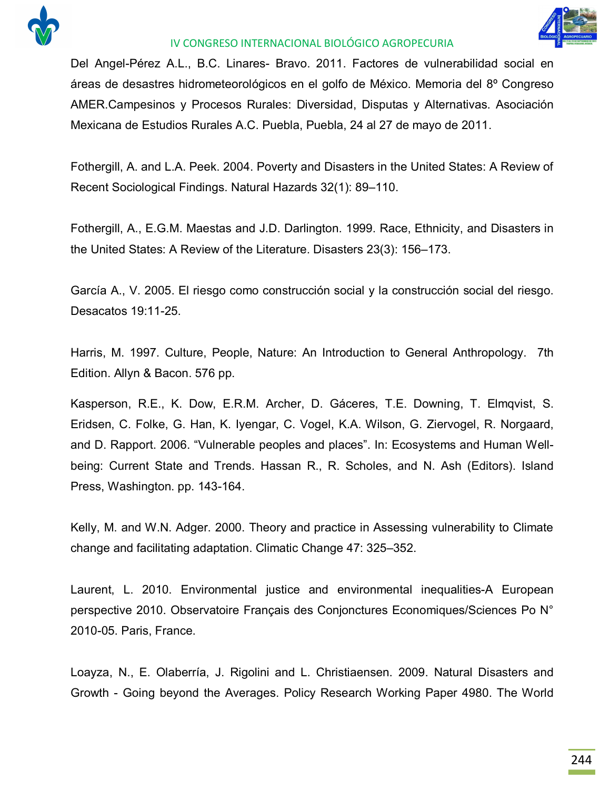



Del Angel-Pérez A.L., B.C. Linares- Bravo. 2011. Factores de vulnerabilidad social en áreas de desastres hidrometeorológicos en el golfo de México. Memoria del 8º Congreso AMER.Campesinos y Procesos Rurales: Diversidad, Disputas y Alternativas. Asociación Mexicana de Estudios Rurales A.C. Puebla, Puebla, 24 al 27 de mayo de 2011.

Fothergill, A. and L.A. Peek. 2004. Poverty and Disasters in the United States: A Review of Recent Sociological Findings. Natural Hazards 32(1): 89–110.

Fothergill, A., E.G.M. Maestas and J.D. Darlington. 1999. Race, Ethnicity, and Disasters in the United States: A Review of the Literature. Disasters 23(3): 156–173.

García A., V. 2005. El riesgo como construcción social y la construcción social del riesgo. Desacatos 19:11-25.

Harris, M. 1997. Culture, People, Nature: An Introduction to General Anthropology. 7th Edition. Allyn & Bacon. 576 pp.

Kasperson, R.E., K. Dow, E.R.M. Archer, D. Gáceres, T.E. Downing, T. Elmqvist, S. Eridsen, C. Folke, G. Han, K. Iyengar, C. Vogel, K.A. Wilson, G. Ziervogel, R. Norgaard, and D. Rapport. 2006. "Vulnerable peoples and places". In: Ecosystems and Human Wellbeing: Current State and Trends. Hassan R., R. Scholes, and N. Ash (Editors). Island Press, Washington. pp. 143-164.

Kelly, M. and W.N. Adger. 2000. Theory and practice in Assessing vulnerability to Climate change and facilitating adaptation. Climatic Change 47: 325–352.

Laurent, L. 2010. Environmental justice and environmental inequalities-A European perspective 2010. Observatoire Français des Conjonctures Economiques/Sciences Po N° 2010-05. Paris, France.

Loayza, N., E. Olaberría, J. Rigolini and L. Christiaensen. 2009. Natural Disasters and Growth - Going beyond the Averages. Policy Research Working Paper 4980. The World